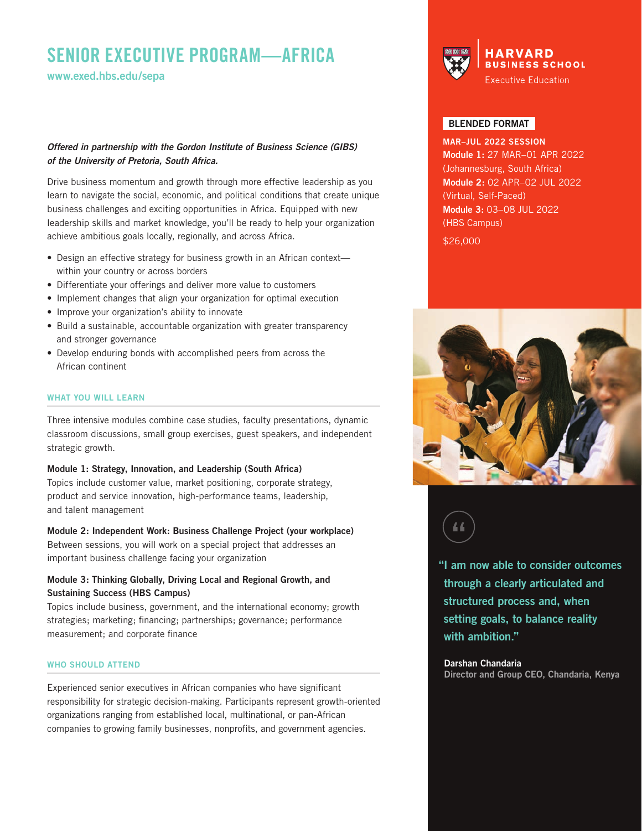# **SENIOR EXECUTIVE PROGRAM—AFRICA**

**www.exed.hbs.edu/sepa**

## *Offered in partnership with the Gordon Institute of Business Science (GIBS) of the University of Pretoria, South Africa.*

Drive business momentum and growth through more effective leadership as you learn to navigate the social, economic, and political conditions that create unique business challenges and exciting opportunities in Africa. Equipped with new leadership skills and market knowledge, you'll be ready to help your organization achieve ambitious goals locally, regionally, and across Africa.

- Design an effective strategy for business growth in an African contextwithin your country or across borders
- Differentiate your offerings and deliver more value to customers
- Implement changes that align your organization for optimal execution
- Improve your organization's ability to innovate
- Build a sustainable, accountable organization with greater transparency and stronger governance
- Develop enduring bonds with accomplished peers from across the African continent

## **WHAT YOU WILL LEARN**

Three intensive modules combine case studies, faculty presentations, dynamic classroom discussions, small group exercises, guest speakers, and independent strategic growth.

**Module 1: Strategy, Innovation, and Leadership (South Africa)** Topics include customer value, market positioning, corporate strategy, product and service innovation, high-performance teams, leadership, and talent management

### **Module 2: Independent Work: Business Challenge Project (your workplace)**

Between sessions, you will work on a special project that addresses an important business challenge facing your organization

## **Module 3: Thinking Globally, Driving Local and Regional Growth, and Sustaining Success (HBS Campus)**

Topics include business, government, and the international economy; growth strategies; marketing; financing; partnerships; governance; performance measurement; and corporate finance

#### **WHO SHOULD ATTEND**

Experienced senior executives in African companies who have significant responsibility for strategic decision-making. Participants represent growth-oriented organizations ranging from established local, multinational, or pan-African companies to growing family businesses, nonprofits, and government agencies.



## **BLENDED FORMAT**

**MAR–JUL 2022 SESSION Module 1:** 27 MAR–01 APR 2022 (Johannesburg, South Africa) **Module 2:** 02 APR–02 JUL 2022 (Virtual, Self-Paced) **Module 3:** 03–08 JUL 2022 (HBS Campus)

\$26,000





**"I am now able to consider outcomes through a clearly articulated and structured process and, when setting goals, to balance reality with ambition."**

# **Darshan Chandaria**

**Director and Group CEO, Chandaria, Kenya**